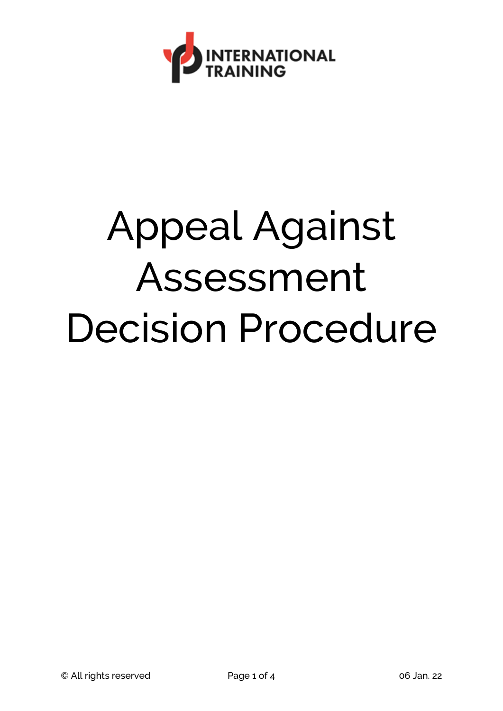

## Appeal Against Assessment Decision Procedure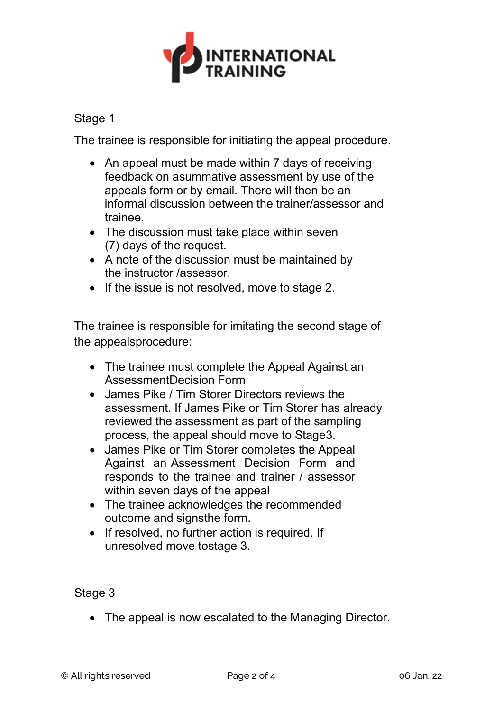

## Stage 1

The trainee is responsible for initiating the appeal procedure.

- An appeal must be made within 7 days of receiving feedback on asummative assessment by use of the appeals form or by email. There will then be an informal discussion between the trainer/assessor and trainee.
- The discussion must take place within seven (7) days of the request.
- A note of the discussion must be maintained by the instructor /assessor.
- If the issue is not resolved, move to stage 2.

The trainee is responsible for imitating the second stage of the appealsprocedure:

- The trainee must complete the Appeal Against an AssessmentDecision Form
- James Pike / Tim Storer Directors reviews the assessment. If James Pike or Tim Storer has already reviewed the assessment as part of the sampling process, the appeal should move to Stage3.
- James Pike or Tim Storer completes the Appeal Against an Assessment Decision Form and responds to the trainee and trainer / assessor within seven days of the appeal
- The trainee acknowledges the recommended outcome and signsthe form.
- If resolved, no further action is required. If unresolved move tostage 3.

Stage 3

• The appeal is now escalated to the Managing Director.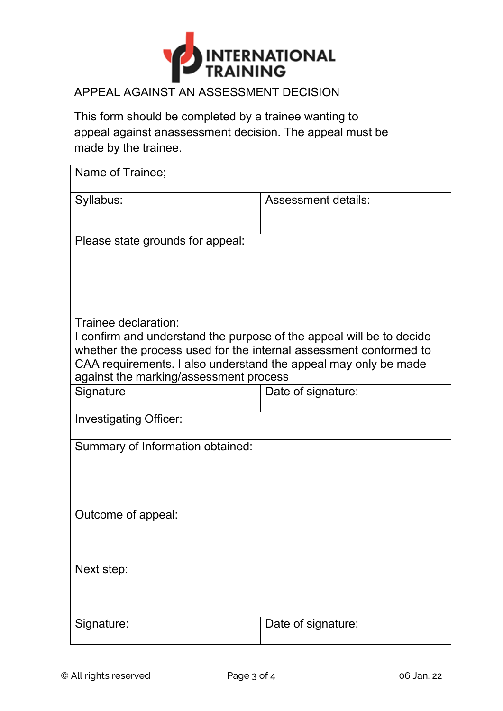

## APPEAL AGAINST AN ASSESSMENT DECISION

This form should be completed by a trainee wanting to appeal against anassessment decision. The appeal must be made by the trainee.

| Name of Trainee;                                                                                          |                     |  |
|-----------------------------------------------------------------------------------------------------------|---------------------|--|
| Syllabus:                                                                                                 | Assessment details: |  |
| Please state grounds for appeal:                                                                          |                     |  |
|                                                                                                           |                     |  |
|                                                                                                           |                     |  |
| Trainee declaration:                                                                                      |                     |  |
| I confirm and understand the purpose of the appeal will be to decide                                      |                     |  |
| whether the process used for the internal assessment conformed to                                         |                     |  |
| CAA requirements. I also understand the appeal may only be made<br>against the marking/assessment process |                     |  |
| Signature                                                                                                 | Date of signature:  |  |
|                                                                                                           |                     |  |
| <b>Investigating Officer:</b>                                                                             |                     |  |
| Summary of Information obtained:                                                                          |                     |  |
|                                                                                                           |                     |  |
|                                                                                                           |                     |  |
|                                                                                                           |                     |  |
| Outcome of appeal:                                                                                        |                     |  |
|                                                                                                           |                     |  |
|                                                                                                           |                     |  |
| Next step:                                                                                                |                     |  |
|                                                                                                           |                     |  |
| Signature:                                                                                                | Date of signature:  |  |
|                                                                                                           |                     |  |